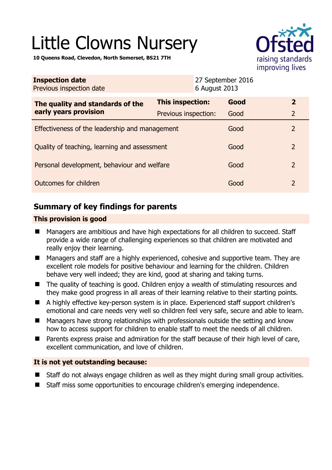# Little Clowns Nursery



**10 Queens Road, Clevedon, North Somerset, BS21 7TH** 

| <b>Inspection date</b><br>Previous inspection date        | 6 August 2013        | 27 September 2016 |                |
|-----------------------------------------------------------|----------------------|-------------------|----------------|
| The quality and standards of the<br>early years provision | This inspection:     | Good              | $\overline{2}$ |
|                                                           | Previous inspection: | Good              | $\overline{2}$ |
| Effectiveness of the leadership and management            |                      | Good              | $\overline{2}$ |
| Quality of teaching, learning and assessment              |                      | Good              | $\overline{2}$ |
| Personal development, behaviour and welfare               |                      | Good              | $\overline{2}$ |
| Outcomes for children                                     |                      | Good              | $\overline{2}$ |

# **Summary of key findings for parents**

## **This provision is good**

- Managers are ambitious and have high expectations for all children to succeed. Staff provide a wide range of challenging experiences so that children are motivated and really enjoy their learning.
- Managers and staff are a highly experienced, cohesive and supportive team. They are excellent role models for positive behaviour and learning for the children. Children behave very well indeed; they are kind, good at sharing and taking turns.
- The quality of teaching is good. Children enjoy a wealth of stimulating resources and they make good progress in all areas of their learning relative to their starting points.
- A highly effective key-person system is in place. Experienced staff support children's emotional and care needs very well so children feel very safe, secure and able to learn.
- Managers have strong relationships with professionals outside the setting and know how to access support for children to enable staff to meet the needs of all children.
- Parents express praise and admiration for the staff because of their high level of care, excellent communication, and love of children.

## **It is not yet outstanding because:**

- Staff do not always engage children as well as they might during small group activities.
- Staff miss some opportunities to encourage children's emerging independence.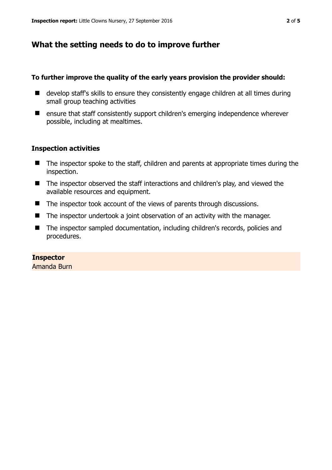# **What the setting needs to do to improve further**

#### **To further improve the quality of the early years provision the provider should:**

- develop staff's skills to ensure they consistently engage children at all times during small group teaching activities
- ensure that staff consistently support children's emerging independence wherever possible, including at mealtimes.

## **Inspection activities**

- The inspector spoke to the staff, children and parents at appropriate times during the inspection.
- The inspector observed the staff interactions and children's play, and viewed the available resources and equipment.
- The inspector took account of the views of parents through discussions.
- The inspector undertook a joint observation of an activity with the manager.
- The inspector sampled documentation, including children's records, policies and procedures.

## **Inspector**

Amanda Burn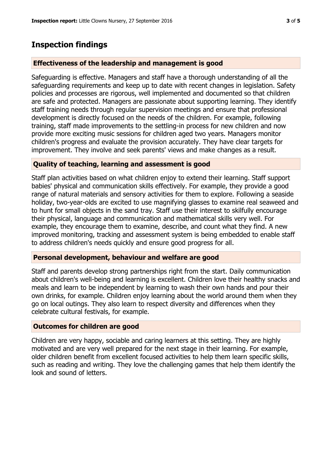## **Inspection findings**

#### **Effectiveness of the leadership and management is good**

Safeguarding is effective. Managers and staff have a thorough understanding of all the safeguarding requirements and keep up to date with recent changes in legislation. Safety policies and processes are rigorous, well implemented and documented so that children are safe and protected. Managers are passionate about supporting learning. They identify staff training needs through regular supervision meetings and ensure that professional development is directly focused on the needs of the children. For example, following training, staff made improvements to the settling-in process for new children and now provide more exciting music sessions for children aged two years. Managers monitor children's progress and evaluate the provision accurately. They have clear targets for improvement. They involve and seek parents' views and make changes as a result.

#### **Quality of teaching, learning and assessment is good**

Staff plan activities based on what children enjoy to extend their learning. Staff support babies' physical and communication skills effectively. For example, they provide a good range of natural materials and sensory activities for them to explore. Following a seaside holiday, two-year-olds are excited to use magnifying glasses to examine real seaweed and to hunt for small objects in the sand tray. Staff use their interest to skilfully encourage their physical, language and communication and mathematical skills very well. For example, they encourage them to examine, describe, and count what they find. A new improved monitoring, tracking and assessment system is being embedded to enable staff to address children's needs quickly and ensure good progress for all.

#### **Personal development, behaviour and welfare are good**

Staff and parents develop strong partnerships right from the start. Daily communication about children's well-being and learning is excellent. Children love their healthy snacks and meals and learn to be independent by learning to wash their own hands and pour their own drinks, for example. Children enjoy learning about the world around them when they go on local outings. They also learn to respect diversity and differences when they celebrate cultural festivals, for example.

#### **Outcomes for children are good**

Children are very happy, sociable and caring learners at this setting. They are highly motivated and are very well prepared for the next stage in their learning. For example, older children benefit from excellent focused activities to help them learn specific skills, such as reading and writing. They love the challenging games that help them identify the look and sound of letters.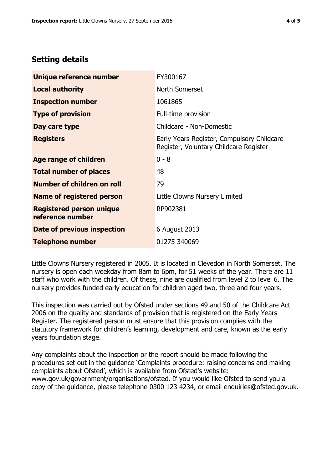# **Setting details**

| Unique reference number                             | EY300167                                                                             |  |
|-----------------------------------------------------|--------------------------------------------------------------------------------------|--|
| <b>Local authority</b>                              | North Somerset                                                                       |  |
| <b>Inspection number</b>                            | 1061865                                                                              |  |
| <b>Type of provision</b>                            | Full-time provision                                                                  |  |
| Day care type                                       | Childcare - Non-Domestic                                                             |  |
| <b>Registers</b>                                    | Early Years Register, Compulsory Childcare<br>Register, Voluntary Childcare Register |  |
| Age range of children                               | $0 - 8$                                                                              |  |
| <b>Total number of places</b>                       | 48                                                                                   |  |
| Number of children on roll                          | 79                                                                                   |  |
| Name of registered person                           | Little Clowns Nursery Limited                                                        |  |
| <b>Registered person unique</b><br>reference number | RP902381                                                                             |  |
| Date of previous inspection                         | 6 August 2013                                                                        |  |
| <b>Telephone number</b>                             | 01275 340069                                                                         |  |

Little Clowns Nursery registered in 2005. It is located in Clevedon in North Somerset. The nursery is open each weekday from 8am to 6pm, for 51 weeks of the year. There are 11 staff who work with the children. Of these, nine are qualified from level 2 to level 6. The nursery provides funded early education for children aged two, three and four years.

This inspection was carried out by Ofsted under sections 49 and 50 of the Childcare Act 2006 on the quality and standards of provision that is registered on the Early Years Register. The registered person must ensure that this provision complies with the statutory framework for children's learning, development and care, known as the early years foundation stage.

Any complaints about the inspection or the report should be made following the procedures set out in the guidance 'Complaints procedure: raising concerns and making complaints about Ofsted', which is available from Ofsted's website: www.gov.uk/government/organisations/ofsted. If you would like Ofsted to send you a copy of the guidance, please telephone 0300 123 4234, or email enquiries@ofsted.gov.uk.